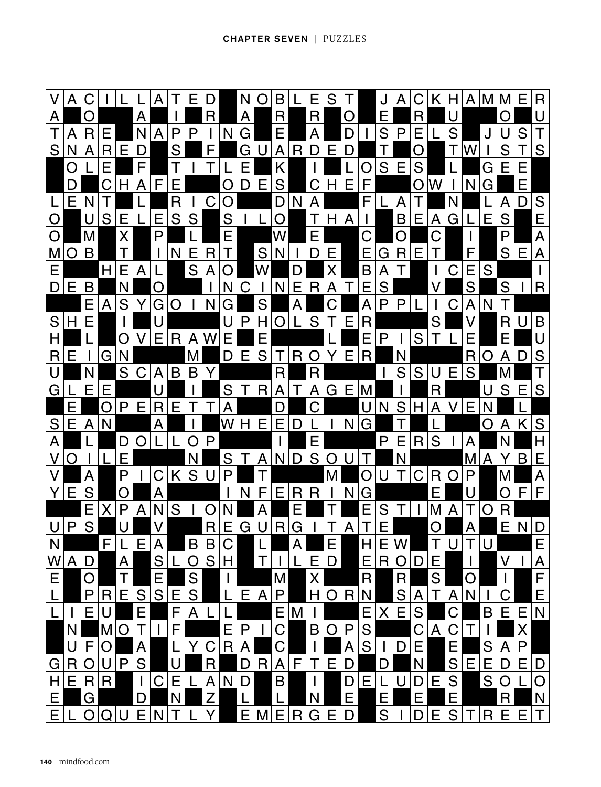